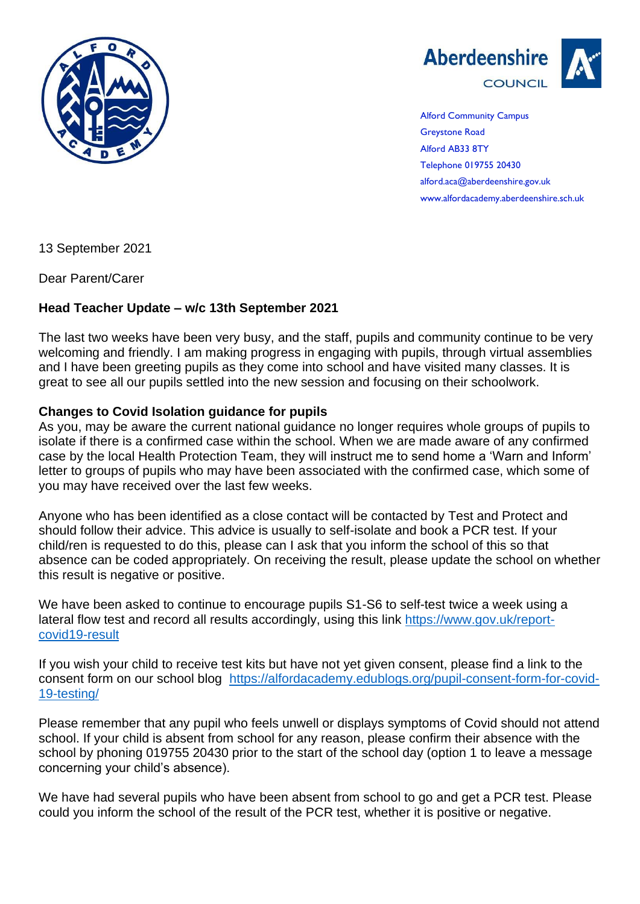



Alford Community Campus Greystone Road Alford AB33 8TY Telephone 019755 20430 alford.aca@aberdeenshire.gov.uk www.alfordacademy.aberdeenshire.sch.uk

13 September 2021

Dear Parent/Carer

# **Head Teacher Update – w/c 13th September 2021**

The last two weeks have been very busy, and the staff, pupils and community continue to be very welcoming and friendly. I am making progress in engaging with pupils, through virtual assemblies and I have been greeting pupils as they come into school and have visited many classes. It is great to see all our pupils settled into the new session and focusing on their schoolwork.

## **Changes to Covid Isolation guidance for pupils**

As you, may be aware the current national guidance no longer requires whole groups of pupils to isolate if there is a confirmed case within the school. When we are made aware of any confirmed case by the local Health Protection Team, they will instruct me to send home a 'Warn and Inform' letter to groups of pupils who may have been associated with the confirmed case, which some of you may have received over the last few weeks.

Anyone who has been identified as a close contact will be contacted by Test and Protect and should follow their advice. This advice is usually to self-isolate and book a PCR test. If your child/ren is requested to do this, please can I ask that you inform the school of this so that absence can be coded appropriately. On receiving the result, please update the school on whether this result is negative or positive.

We have been asked to continue to encourage pupils S1-S6 to self-test twice a week using a lateral flow test and record all results accordingly, using this link [https://www.gov.uk/report](https://www.gov.uk/report-covid19-result)[covid19-result](https://www.gov.uk/report-covid19-result)

If you wish your child to receive test kits but have not yet given consent, please find a link to the consent form on our school blog [https://alfordacademy.edublogs.org/pupil-consent-form-for-covid-](https://alfordacademy.edublogs.org/pupil-consent-form-for-covid-19-testing/)[19-testing/](https://alfordacademy.edublogs.org/pupil-consent-form-for-covid-19-testing/)

Please remember that any pupil who feels unwell or displays symptoms of Covid should not attend school. If your child is absent from school for any reason, please confirm their absence with the school by phoning 019755 20430 prior to the start of the school day (option 1 to leave a message concerning your child's absence).

We have had several pupils who have been absent from school to go and get a PCR test. Please could you inform the school of the result of the PCR test, whether it is positive or negative.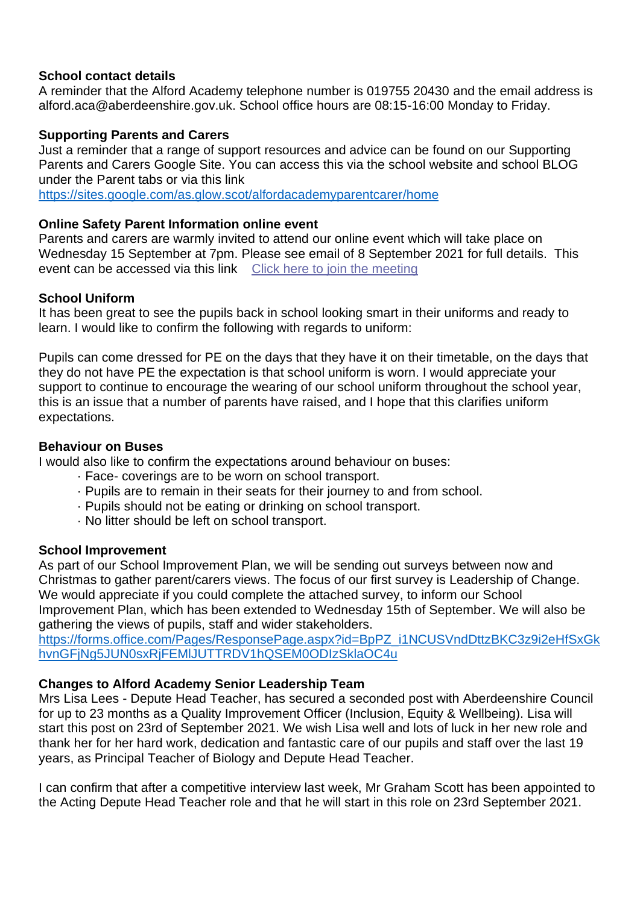## **School contact details**

A reminder that the Alford Academy telephone number is 019755 20430 and the email address is alford.aca@aberdeenshire.gov.uk. School office hours are 08:15-16:00 Monday to Friday.

### **Supporting Parents and Carers**

Just a reminder that a range of support resources and advice can be found on our Supporting Parents and Carers Google Site. You can access this via the school website and school BLOG under the Parent tabs or via this link

<https://sites.google.com/as.glow.scot/alfordacademyparentcarer/home>

#### **Online Safety Parent Information online event**

Parents and carers are warmly invited to attend our online event which will take place on Wednesday 15 September at 7pm. Please see email of 8 September 2021 for full details. This event can be accessed via this link [Click here to join the meeting](https://teams.microsoft.com/l/meetup-join/19%3ameeting_MDQyY2E3MzgtOTBkMC00ZGZjLTgzZTQtNDg1Y2YzMWI2ZWEw%40thread.v2/0?context=%7b%22Tid%22%3a%22fed99306-4d2d-4409-959d-d0edb7304a0b%22%2c%22Oid%22%3a%2218520963-c217-4291-a452-0d59f171f0f7%22%7d)

#### **School Uniform**

It has been great to see the pupils back in school looking smart in their uniforms and ready to learn. I would like to confirm the following with regards to uniform:

Pupils can come dressed for PE on the days that they have it on their timetable, on the days that they do not have PE the expectation is that school uniform is worn. I would appreciate your support to continue to encourage the wearing of our school uniform throughout the school year, this is an issue that a number of parents have raised, and I hope that this clarifies uniform expectations.

## **Behaviour on Buses**

I would also like to confirm the expectations around behaviour on buses:

- · Face- coverings are to be worn on school transport.
- · Pupils are to remain in their seats for their journey to and from school.
- · Pupils should not be eating or drinking on school transport.
- · No litter should be left on school transport.

#### **School Improvement**

As part of our School Improvement Plan, we will be sending out surveys between now and Christmas to gather parent/carers views. The focus of our first survey is Leadership of Change. We would appreciate if you could complete the attached survey, to inform our School Improvement Plan, which has been extended to Wednesday 15th of September. We will also be gathering the views of pupils, staff and wider stakeholders.

[https://forms.office.com/Pages/ResponsePage.aspx?id=BpPZ\\_i1NCUSVndDttzBKC3z9i2eHfSxGk](https://forms.office.com/Pages/ResponsePage.aspx?id=BpPZ_i1NCUSVndDttzBKC3z9i2eHfSxGkhvnGFjNg5JUN0sxRjFEMlJUTTRDV1hQSEM0ODIzSklaOC4u) [hvnGFjNg5JUN0sxRjFEMlJUTTRDV1hQSEM0ODIzSklaOC4u](https://forms.office.com/Pages/ResponsePage.aspx?id=BpPZ_i1NCUSVndDttzBKC3z9i2eHfSxGkhvnGFjNg5JUN0sxRjFEMlJUTTRDV1hQSEM0ODIzSklaOC4u)

# **Changes to Alford Academy Senior Leadership Team**

Mrs Lisa Lees - Depute Head Teacher, has secured a seconded post with Aberdeenshire Council for up to 23 months as a Quality Improvement Officer (Inclusion, Equity & Wellbeing). Lisa will start this post on 23rd of September 2021. We wish Lisa well and lots of luck in her new role and thank her for her hard work, dedication and fantastic care of our pupils and staff over the last 19 years, as Principal Teacher of Biology and Depute Head Teacher.

I can confirm that after a competitive interview last week, Mr Graham Scott has been appointed to the Acting Depute Head Teacher role and that he will start in this role on 23rd September 2021.